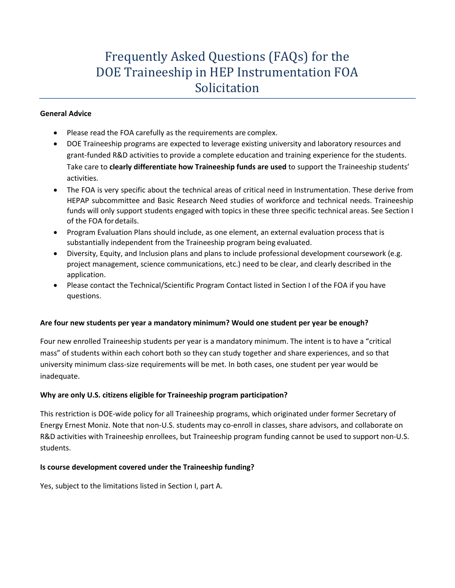# Frequently Asked Questions (FAQs) for the DOE Traineeship in HEP Instrumentation FOA Solicitation

#### **General Advice**

- Please read the FOA carefully as the requirements are complex.
- DOE Traineeship programs are expected to leverage existing university and laboratory resources and grant-funded R&D activities to provide a complete education and training experience for the students. Take care to **clearly differentiate how Traineeship funds are used** to support the Traineeship students' activities.
- The FOA is very specific about the technical areas of critical need in Instrumentation. These derive from HEPAP subcommittee and Basic Research Need studies of workforce and technical needs. Traineeship funds will only support students engaged with topics in these three specific technical areas. See Section I of the FOA fordetails.
- Program Evaluation Plans should include, as one element, an external evaluation process that is substantially independent from the Traineeship program being evaluated.
- Diversity, Equity, and Inclusion plans and plans to include professional development coursework (e.g. project management, science communications, etc.) need to be clear, and clearly described in the application.
- Please contact the Technical/Scientific Program Contact listed in Section I of the FOA if you have questions.

# **Are four new students per year a mandatory minimum? Would one student per year be enough?**

Four new enrolled Traineeship students per year is a mandatory minimum. The intent is to have a "critical mass" of students within each cohort both so they can study together and share experiences, and so that university minimum class-size requirements will be met. In both cases, one student per year would be inadequate.

# **Why are only U.S. citizens eligible for Traineeship program participation?**

This restriction is DOE-wide policy for all Traineeship programs, which originated under former Secretary of Energy Ernest Moniz. Note that non-U.S. students may co-enroll in classes, share advisors, and collaborate on R&D activities with Traineeship enrollees, but Traineeship program funding cannot be used to support non-U.S. students.

# **Is course development covered under the Traineeship funding?**

Yes, subject to the limitations listed in Section I, part A.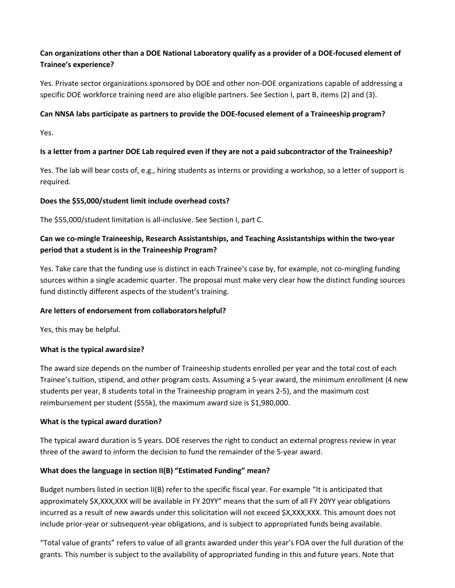# **Can organizations other than a DOE National Laboratory qualify as a provider of a DOE-focused element of Trainee's experience?**

Yes. Private sector organizations sponsored by DOE and other non-DOE organizations capable of addressing a specific DOE workforce training need are also eligible partners. See Section I, part B, items (2) and (3).

### **Can NNSA labs participate as partners to provide the DOE-focused element of a Traineeship program?**

Yes.

# **Is a letter from a partner DOE Lab required even if they are not a paid subcontractor of the Traineeship?**

Yes. The lab will bear costs of, e.g., hiring students as interns or providing a workshop, so a letter of support is required.

#### **Does the \$55,000/student limit include overhead costs?**

The \$55,000/student limitation is all-inclusive. See Section I, part C.

# **Can we co-mingle Traineeship, Research Assistantships, and Teaching Assistantships within the two-year period that a student is in the Traineeship Program?**

Yes. Take care that the funding use is distinct in each Trainee's case by, for example, not co-mingling funding sources within a single academic quarter. The proposal must make very clear how the distinct funding sources fund distinctly different aspects of the student's training.

#### **Are letters of endorsement from collaboratorshelpful?**

Yes, this may be helpful.

#### **What is the typical awardsize?**

The award size depends on the number of Traineeship students enrolled per year and the total cost of each Trainee's tuition, stipend, and other program costs. Assuming a 5-year award, the minimum enrollment (4 new students per year, 8 students total in the Traineeship program in years 2-5), and the maximum cost reimbursement per student (\$55k), the maximum award size is \$1,980,000.

#### **What is the typical award duration?**

The typical award duration is 5 years. DOE reserves the right to conduct an external progress review in year three of the award to inform the decision to fund the remainder of the 5-year award.

# **What does the language in section II(B) "Estimated Funding" mean?**

Budget numbers listed in section II(B) refer to the specific fiscal year. For example "It is anticipated that approximately \$X,XXX,XXX will be available in FY 20YY" means that the sum of all FY 20YY year obligations incurred as a result of new awards under this solicitation will not exceed \$X,XXX,XXX. This amount does not include prior-year or subsequent-year obligations, and is subject to appropriated funds being available.

"Total value of grants" refers to value of all grants awarded under this year's FOA over the full duration of the grants. This number is subject to the availability of appropriated funding in this and future years. Note that